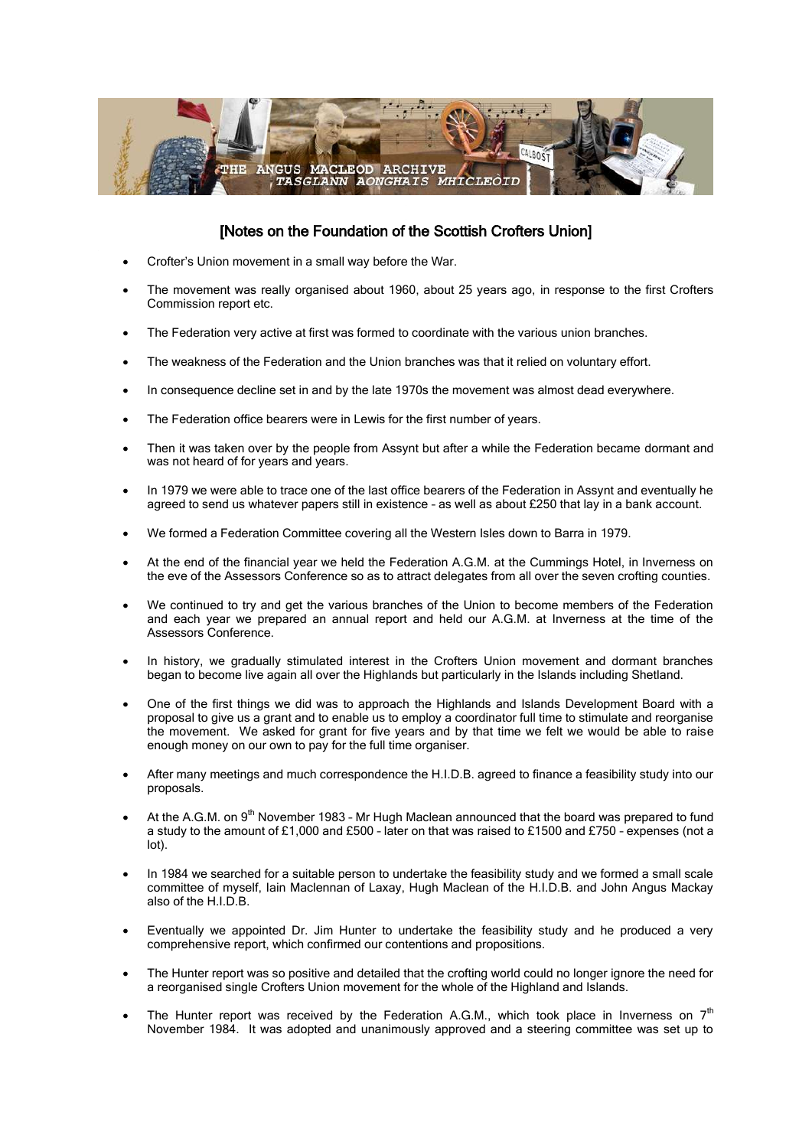

## [Notes on the Foundation of the Scottish Crofters Union]

- Crofter's Union movement in a small way before the War.
- The movement was really organised about 1960, about 25 years ago, in response to the first Crofters Commission report etc.
- The Federation very active at first was formed to coordinate with the various union branches.
- The weakness of the Federation and the Union branches was that it relied on voluntary effort.
- In consequence decline set in and by the late 1970s the movement was almost dead everywhere.
- The Federation office bearers were in Lewis for the first number of years.
- Then it was taken over by the people from Assynt but after a while the Federation became dormant and was not heard of for years and years.
- In 1979 we were able to trace one of the last office bearers of the Federation in Assynt and eventually he agreed to send us whatever papers still in existence – as well as about £250 that lay in a bank account.
- We formed a Federation Committee covering all the Western Isles down to Barra in 1979.
- At the end of the financial year we held the Federation A.G.M. at the Cummings Hotel, in Inverness on the eve of the Assessors Conference so as to attract delegates from all over the seven crofting counties.
- We continued to try and get the various branches of the Union to become members of the Federation and each year we prepared an annual report and held our A.G.M. at Inverness at the time of the Assessors Conference.
- In history, we gradually stimulated interest in the Crofters Union movement and dormant branches began to become live again all over the Highlands but particularly in the Islands including Shetland.
- One of the first things we did was to approach the Highlands and Islands Development Board with a proposal to give us a grant and to enable us to employ a coordinator full time to stimulate and reorganise the movement. We asked for grant for five years and by that time we felt we would be able to raise enough money on our own to pay for the full time organiser.
- After many meetings and much correspondence the H.I.D.B. agreed to finance a feasibility study into our proposals.
- At the A.G.M. on 9<sup>th</sup> November 1983 Mr Hugh Maclean announced that the board was prepared to fund a study to the amount of £1,000 and £500 – later on that was raised to £1500 and £750 – expenses (not a lot).
- In 1984 we searched for a suitable person to undertake the feasibility study and we formed a small scale committee of myself, Iain Maclennan of Laxay, Hugh Maclean of the H.I.D.B. and John Angus Mackay also of the H.I.D.B.
- Eventually we appointed Dr. Jim Hunter to undertake the feasibility study and he produced a very comprehensive report, which confirmed our contentions and propositions.
- The Hunter report was so positive and detailed that the crofting world could no longer ignore the need for a reorganised single Crofters Union movement for the whole of the Highland and Islands.
- The Hunter report was received by the Federation A.G.M., which took place in Inverness on  $7<sup>th</sup>$ November 1984. It was adopted and unanimously approved and a steering committee was set up to